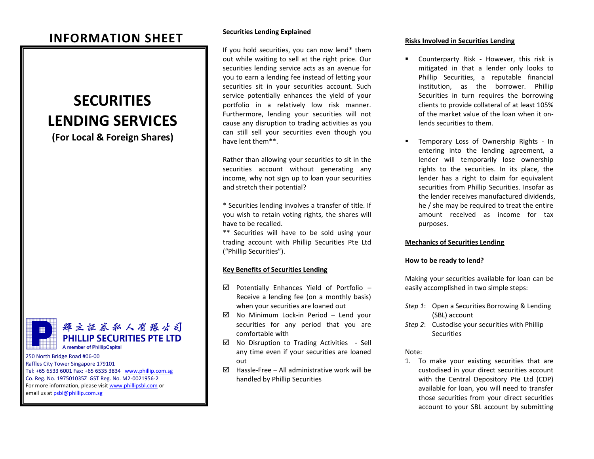# **INFORMATION SHEET**

# **SECURITIES LENDING SERVICES**

**(For Local & Foreign Shares)**



輝立証券私人有限公司 **PHILLIP SECURITIES PTE LTD A member of PhillipCapital** 

250 North Bridge Road #06-00 Raffles City Tower Singapore 179101 Tel: +65 6533 6001 Fax: +65 6535 3834 [www.phillip.com.sg](http://www.phillip.com.sg/) Co. Reg. No. 197501035Z GST Reg. No. M2-0021956-2 For more information, please visi[t www.phillipsbl.com](http://www.phillipsbl.com/) or email us a[t psbl@phillip.com.sg](mailto:psbl@phillip.com.sg)

#### **Securities Lending Explained**

If you hold securities, you can now lend\* them out while waiting to sell at the right price. Our securities lending service acts as an avenue for you to earn a lending fee instead of letting your securities sit in your securities account. Such service potentially enhances the yield of your portfolio in a relatively low risk manner. Furthermore, lending your securities will not cause any disruption to trading activities as you can still sell your securities even though you have lent them\*\*.

Rather than allowing your securities to sit in the securities account without generating any income, why not sign up to loan your securities and stretch their potential?

\* Securities lending involves a transfer of title. If you wish to retain voting rights, the shares will have to be recalled.

\*\* Securities will have to be sold using your trading account with Phillip Securities Pte Ltd ("Phillip Securities").

# **Key Benefits of Securities Lending**

- $\boxtimes$  Potentially Enhances Yield of Portfolio Receive a lending fee (on a monthly basis) when your securities are loaned out
- $\boxtimes$  No Minimum Lock-in Period Lend your securities for any period that you are comfortable with
- $\boxtimes$  No Disruption to Trading Activities Sell any time even if your securities are loaned out
- $\boxtimes$  Hassle-Free All administrative work will be handled by Phillip Securities

#### **Risks Involved in Securities Lending**

- **EXECOUNTER COUNTER COUNTER FIGURE 15 FIGURE 15 COUNTER COUNTER** mitigated in that a lender only looks to Phillip Securities, a reputable financial institution, as the borrower. Phillip Securities in turn requires the borrowing clients to provide collateral of at least 105% of the market value of the loan when it onlends securities to them.
- Temporary Loss of Ownership Rights In entering into the lending agreement, a lender will temporarily lose ownership rights to the securities. In its place, the lender has a right to claim for equivalent securities from Phillip Securities. Insofar as the lender receives manufactured dividends, he / she may be required to treat the entire amount received as income for tax purposes.

# **Mechanics of Securities Lending**

# **How to be ready to lend?**

Making your securities available for loan can be easily accomplished in two simple steps:

- *Step 1*: Open a Securities Borrowing & Lending (SBL) account
- *Step 2*: Custodise your securities with Phillip **Securities**

#### Note:

1. To make your existing securities that are custodised in your direct securities account with the Central Depository Pte Ltd (CDP) available for loan, you will need to transfer those securities from your direct securities account to your SBL account by submitting